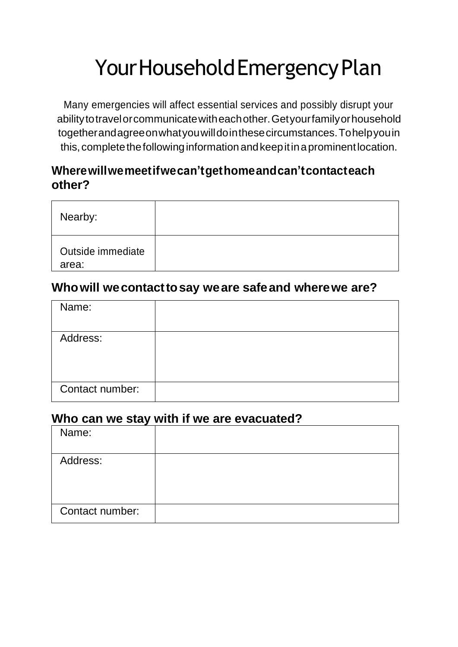# Your Household Emergency Plan

Many emergencies will affect essential services and possibly disrupt your abilitytotravelorcommunicatewitheachother.Getyourfamilyorhousehold togetherandagreeonwhatyouwilldointhesecircumstances.Tohelpyouin this, complete the following information and keep it in a prominent location.

#### **Wherewillwemeetifwecan'tgethomeandcan'tcontacteach other?**

| Nearby:                    |  |
|----------------------------|--|
| Outside immediate<br>area: |  |

#### **Whowill wecontacttosay weare safeand wherewe are?**

| Name:           |  |
|-----------------|--|
| Address:        |  |
| Contact number: |  |

#### **Who can we stay with if we are evacuated?**

| Name:           |  |
|-----------------|--|
| Address:        |  |
|                 |  |
| Contact number: |  |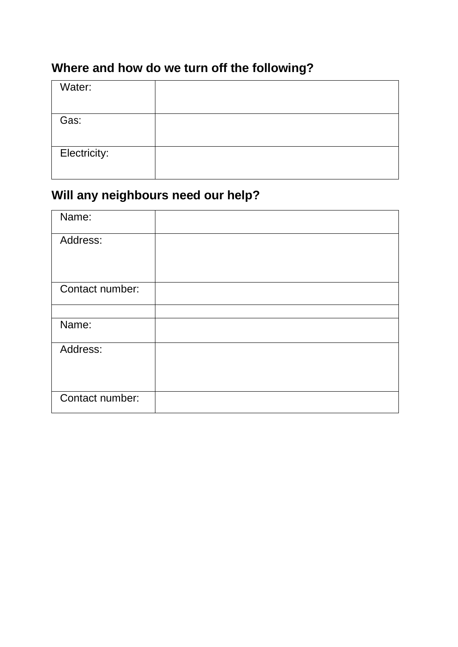## **Where and how do we turn off the following?**

| Water:       |  |
|--------------|--|
|              |  |
| Gas:         |  |
|              |  |
| Electricity: |  |
|              |  |

### **Will any neighbours need our help?**

| Name:           |  |
|-----------------|--|
| Address:        |  |
|                 |  |
| Contact number: |  |
|                 |  |
|                 |  |
| Name:           |  |
| Address:        |  |
|                 |  |
|                 |  |
| Contact number: |  |